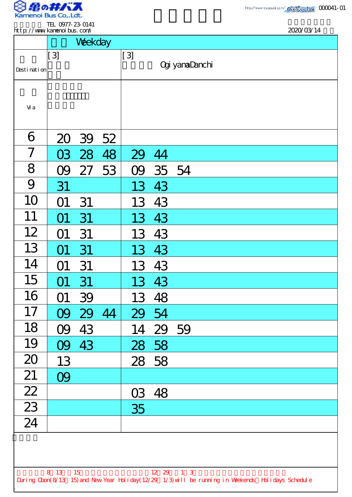

.

TEL 0977-23-0141

| http://www.kanenoi.bus.com/                                                                                                |                  |         |    |       |          | 2020/03/14            |  |  |  |
|----------------------------------------------------------------------------------------------------------------------------|------------------|---------|----|-------|----------|-----------------------|--|--|--|
|                                                                                                                            |                  | Weekday |    |       |          |                       |  |  |  |
|                                                                                                                            | $\left[3\right]$ |         |    | $[3]$ |          |                       |  |  |  |
| Desti nati on                                                                                                              |                  |         |    |       |          | <b>Ogi yamaDanchi</b> |  |  |  |
|                                                                                                                            |                  |         |    |       |          |                       |  |  |  |
|                                                                                                                            |                  |         |    |       |          |                       |  |  |  |
| Vi a                                                                                                                       |                  |         |    |       |          |                       |  |  |  |
|                                                                                                                            |                  |         |    |       |          |                       |  |  |  |
| 6                                                                                                                          | 20               | 39      | 52 |       |          |                       |  |  |  |
| $\overline{ }$                                                                                                             | 03               | 28      | 48 | 29 44 |          |                       |  |  |  |
| 8                                                                                                                          | O9               | 27      | 53 | O9    | 35 54    |                       |  |  |  |
| 9                                                                                                                          | 31               |         |    | 13    | 43       |                       |  |  |  |
| 10                                                                                                                         | O1               | 31      |    | 13    | 43       |                       |  |  |  |
| 11                                                                                                                         | 01               | 31      |    | 13    | 43       |                       |  |  |  |
| 12                                                                                                                         | 01               | 31      |    | 13    | 43       |                       |  |  |  |
| 13                                                                                                                         | O1               | 31      |    |       | 13 43    |                       |  |  |  |
| 14                                                                                                                         | O1               | 31      |    |       | 13 43    |                       |  |  |  |
| 15                                                                                                                         | O1               | 31      |    |       | 13 43    |                       |  |  |  |
| 16                                                                                                                         | O1               | 39      |    | 13    | 48       |                       |  |  |  |
| 17                                                                                                                         | OQ               | 29      | 44 | 29    | 54       |                       |  |  |  |
| 18                                                                                                                         | 09               | 43      |    |       | 14 29 59 |                       |  |  |  |
| 19                                                                                                                         |                  | 09 43   |    |       | 28 58    |                       |  |  |  |
| 20                                                                                                                         | 13               |         |    |       | 28 58    |                       |  |  |  |
| 21                                                                                                                         | 09               |         |    |       |          |                       |  |  |  |
| $\frac{22}{2}$                                                                                                             |                  |         |    |       | 03 48    |                       |  |  |  |
| $\overline{23}$                                                                                                            |                  |         |    | 35    |          |                       |  |  |  |
| 24                                                                                                                         |                  |         |    |       |          |                       |  |  |  |
|                                                                                                                            |                  |         |    |       |          |                       |  |  |  |
|                                                                                                                            |                  |         |    |       |          |                       |  |  |  |
|                                                                                                                            |                  |         |    |       |          |                       |  |  |  |
| 8 13 15<br>12 29 1 3<br>During Cbon(8/13 15) and New Year Holiday(12/29 1/3) will be running in Weekends Holidays Schedule |                  |         |    |       |          |                       |  |  |  |